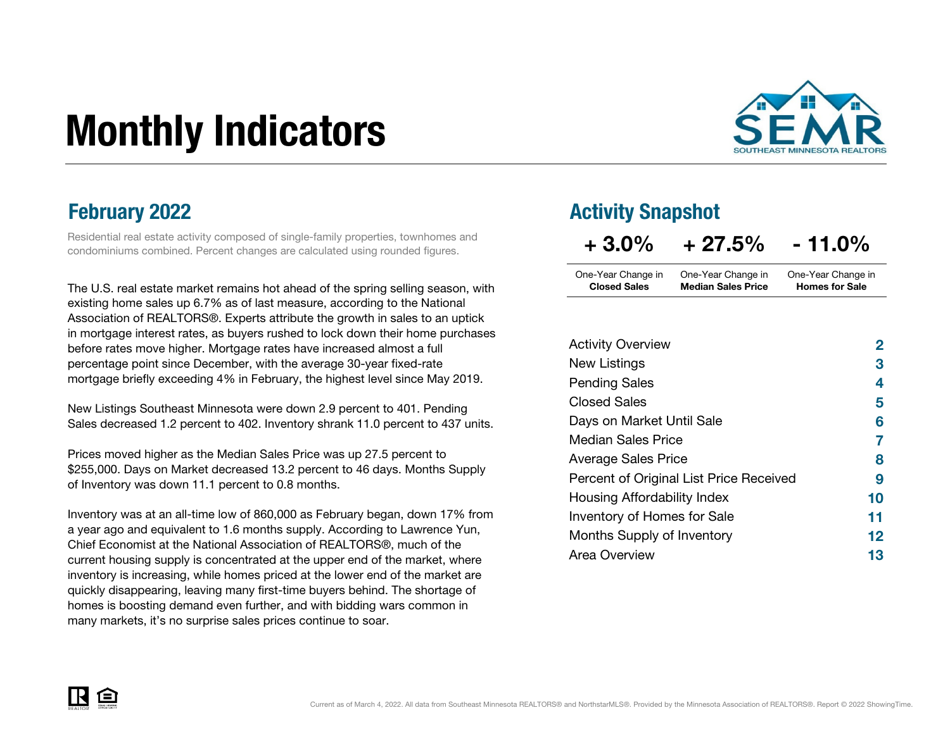# Monthly Indicators



Residential real estate activity composed of single-family properties, townhomes and condominiums combined. Percent changes are calculated using rounded figures.

The U.S. real estate market remains hot ahead of the spring selling season, with existing home sales up 6.7% as of last measure, according to the National Association of REALTORS®. Experts attribute the growth in sales to an uptick in mortgage interest rates, as buyers rushed to lock down their home purchases before rates move higher. Mortgage rates have increased almost a full percentage point since December, with the average 30-year fixed-rate mortgage briefly exceeding 4% in February, the highest level since May 2019.

New Listings Southeast Minnesota were down 2.9 percent to 401. Pending Sales decreased 1.2 percent to 402. Inventory shrank 11.0 percent to 437 units.

Prices moved higher as the Median Sales Price was up 27.5 percent to \$255,000. Days on Market decreased 13.2 percent to 46 days. Months Supply of Inventory was down 11.1 percent to 0.8 months.

Inventory was at an all-time low of 860,000 as February began, down 17% from a year ago and equivalent to 1.6 months supply. According to Lawrence Yun, Chief Economist at the National Association of REALTORS®, much of the current housing supply is concentrated at the upper end of the market, where inventory is increasing, while homes priced at the lower end of the market are quickly disappearing, leaving many first-time buyers behind. The shortage of homes is boosting demand even further, and with bidding wars common in many markets, it's no surprise sales prices continue to soar.

### **February 2022 Activity Snapshot**

| $+3.0%$             | $+27.5%$                  | $-11.0%$              |
|---------------------|---------------------------|-----------------------|
| One-Year Change in  | One-Year Change in        | One-Year Change in    |
| <b>Closed Sales</b> | <b>Median Sales Price</b> | <b>Homes for Sale</b> |

| <b>Activity Overview</b>                | 2  |
|-----------------------------------------|----|
| New Listings                            | 3  |
| <b>Pending Sales</b>                    | 4  |
| <b>Closed Sales</b>                     | 5  |
| Days on Market Until Sale               | 6  |
| <b>Median Sales Price</b>               | 7  |
| <b>Average Sales Price</b>              | 8  |
| Percent of Original List Price Received | 9  |
| Housing Affordability Index             | 10 |
| Inventory of Homes for Sale             | 11 |
| Months Supply of Inventory              | 12 |
| Area Overview                           | 13 |

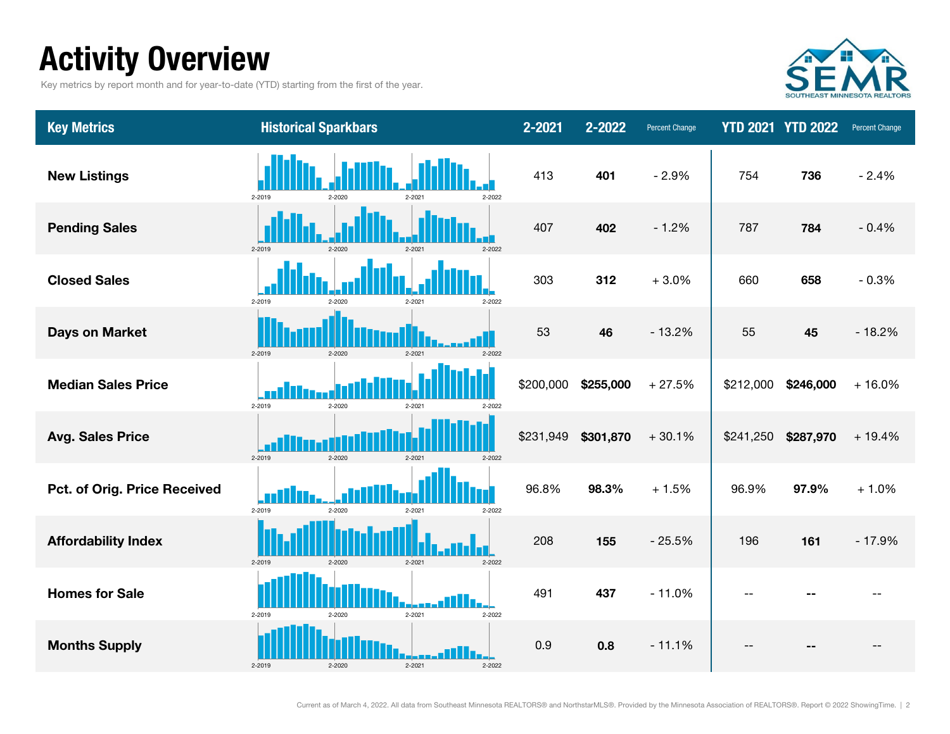## Activity Overview

Key metrics by report month and for year-to-date (YTD) starting from the first of the year.



| <b>Key Metrics</b>           | <b>Historical Sparkbars</b>                  | 2-2021    | 2-2022    | <b>Percent Change</b> |           | <b>YTD 2021 YTD 2022</b> | <b>Percent Change</b> |
|------------------------------|----------------------------------------------|-----------|-----------|-----------------------|-----------|--------------------------|-----------------------|
| <b>New Listings</b>          | 2-2019<br>2-2021<br>2-2020<br>2-2022         | 413       | 401       | $-2.9%$               | 754       | 736                      | $-2.4%$               |
| <b>Pending Sales</b>         | 2-2019<br>$2 - 2020$<br>$2 - 2021$<br>2-2022 | 407       | 402       | $-1.2%$               | 787       | 784                      | $-0.4%$               |
| <b>Closed Sales</b>          | 2-2019<br>2-2021<br>2-2020<br>2-2022         | 303       | 312       | $+3.0%$               | 660       | 658                      | $-0.3%$               |
| <b>Days on Market</b>        | 2-2019<br>$2 - 2020$<br>$2 - 2021$<br>2-2022 | 53        | 46        | $-13.2%$              | 55        | 45                       | $-18.2%$              |
| <b>Median Sales Price</b>    | 2-2019<br>2-2020<br>2-2021<br>2-2022         | \$200,000 | \$255,000 | $+27.5%$              | \$212,000 | \$246,000                | $+16.0%$              |
| <b>Avg. Sales Price</b>      | 2-2019<br>2-2020<br>$2 - 2021$<br>2-2022     | \$231,949 | \$301,870 | $+30.1%$              | \$241,250 | \$287,970                | $+19.4%$              |
| Pct. of Orig. Price Received | 2-2019<br>2-2020<br>2-2021<br>2-2022         | 96.8%     | 98.3%     | $+1.5%$               | 96.9%     | 97.9%                    | $+1.0%$               |
| <b>Affordability Index</b>   | 2-2019<br>$2 - 2021$<br>2-2020<br>2-2022     | 208       | 155       | $-25.5%$              | 196       | 161                      | $-17.9%$              |
| <b>Homes for Sale</b>        | $2 - 2021$<br>2-2019<br>2-2022<br>2-2020     | 491       | 437       | $-11.0%$              | $-1$      |                          |                       |
| <b>Months Supply</b>         | 2-2019<br>2-2020<br>$2 - 2021$<br>2-2022     | 0.9       | 0.8       | $-11.1%$              |           |                          |                       |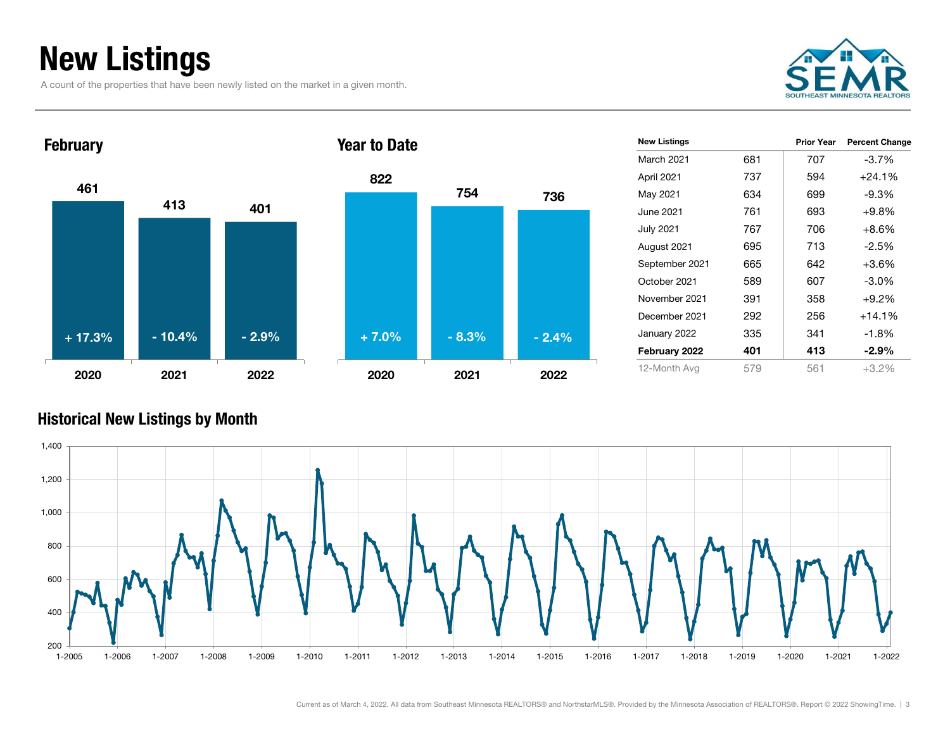## New Listings

A count of the properties that have been newly listed on the market in a given month.





| <b>New Listings</b> |     | <b>Prior Year</b> | <b>Percent Change</b> |
|---------------------|-----|-------------------|-----------------------|
| <b>March 2021</b>   | 681 | 707               | $-3.7%$               |
| April 2021          | 737 | 594               | $+24.1%$              |
| May 2021            | 634 | 699               | $-9.3%$               |
| June 2021           | 761 | 693               | $+9.8%$               |
| July 2021           | 767 | 706               | +8.6%                 |
| August 2021         | 695 | 713               | $-2.5%$               |
| September 2021      | 665 | 642               | $+3.6\%$              |
| October 2021        | 589 | 607               | $-3.0\%$              |
| November 2021       | 391 | 358               | $+9.2%$               |
| December 2021       | 292 | 256               | $+14.1%$              |
| January 2022        | 335 | 341               | $-1.8%$               |
| February 2022       | 401 | 413               | $-2.9\%$              |
| 12-Month Avg        | 579 | 561               | $+3.2%$               |
|                     |     |                   |                       |

#### Historical New Listings by Month



736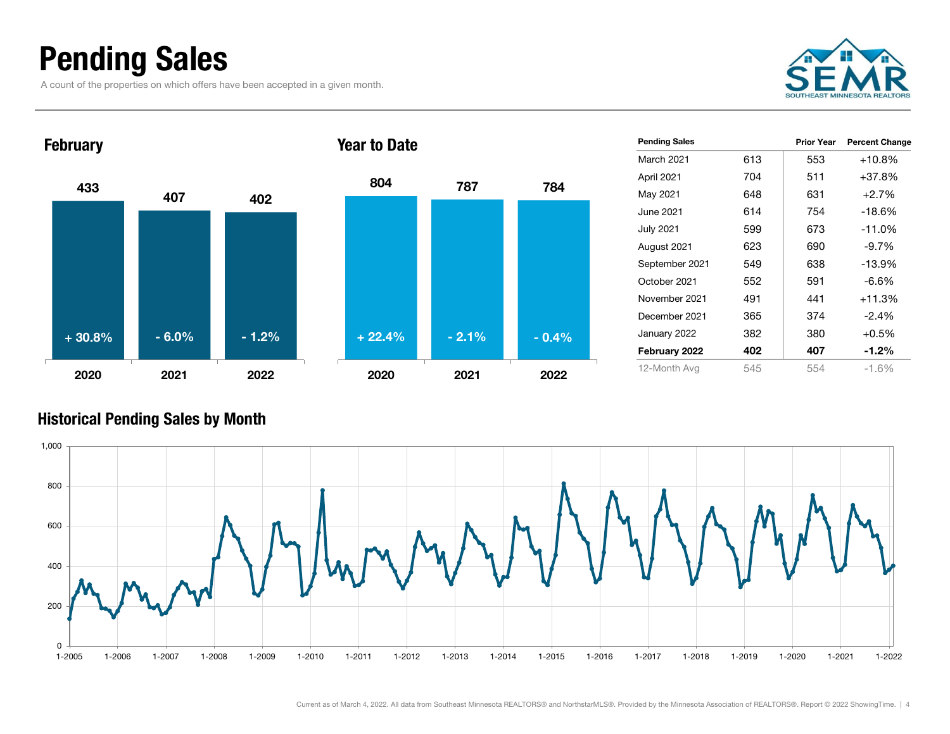### Pending Sales

A count of the properties on which offers have been accepted in a given month.





| IVAI LU PULU |         |         |
|--------------|---------|---------|
| 804          | 787     | 784     |
|              |         |         |
|              |         |         |
|              |         |         |
|              |         |         |
| $+22.4%$     | $-2.1%$ | $-0.4%$ |
| 2020         | 2021    | 2022    |

| <b>Pending Sales</b> |     | <b>Prior Year</b> | <b>Percent Change</b> |
|----------------------|-----|-------------------|-----------------------|
| March 2021           | 613 | 553               | +10.8%                |
| April 2021           | 704 | 511               | $+37.8%$              |
| May 2021             | 648 | 631               | $+2.7%$               |
| June 2021            | 614 | 754               | $-18.6%$              |
| <b>July 2021</b>     | 599 | 673               | $-11.0%$              |
| August 2021          | 623 | 690               | $-9.7%$               |
| September 2021       | 549 | 638               | $-13.9%$              |
| October 2021         | 552 | 591               | $-6.6\%$              |
| November 2021        | 491 | 441               | $+11.3%$              |
| December 2021        | 365 | 374               | $-2.4\%$              |
| January 2022         | 382 | 380               | $+0.5%$               |
| February 2022        | 402 | 407               | $-1.2\%$              |
| 12-Month Avg         | 545 | 554               | $-1.6%$               |

### Historical Pending Sales by Month

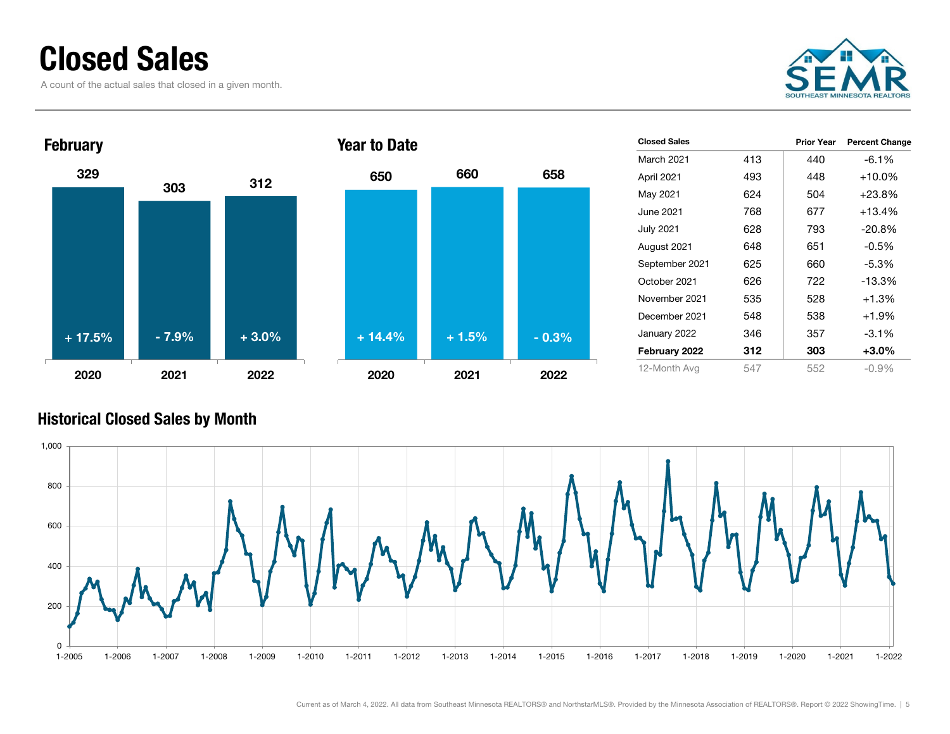### Closed Sales

A count of the actual sales that closed in a given month.





| <b>Closed Sales</b> |     | <b>Prior Year</b> | <b>Percent Change</b> |
|---------------------|-----|-------------------|-----------------------|
| <b>March 2021</b>   | 413 | 440               | $-6.1\%$              |
| April 2021          | 493 | 448               | $+10.0%$              |
| May 2021            | 624 | 504               | $+23.8\%$             |
| June 2021           | 768 | 677               | $+13.4%$              |
| <b>July 2021</b>    | 628 | 793               | $-20.8%$              |
| August 2021         | 648 | 651               | $-0.5%$               |
| September 2021      | 625 | 660               | $-5.3%$               |
| October 2021        | 626 | 722               | $-13.3%$              |
| November 2021       | 535 | 528               | $+1.3%$               |
| December 2021       | 548 | 538               | $+1.9%$               |
| January 2022        | 346 | 357               | $-3.1\%$              |
| February 2022       | 312 | 303               | $+3.0%$               |
| 12-Month Avg        | 547 | 552               | $-0.9\%$              |

### Historical Closed Sales by Month

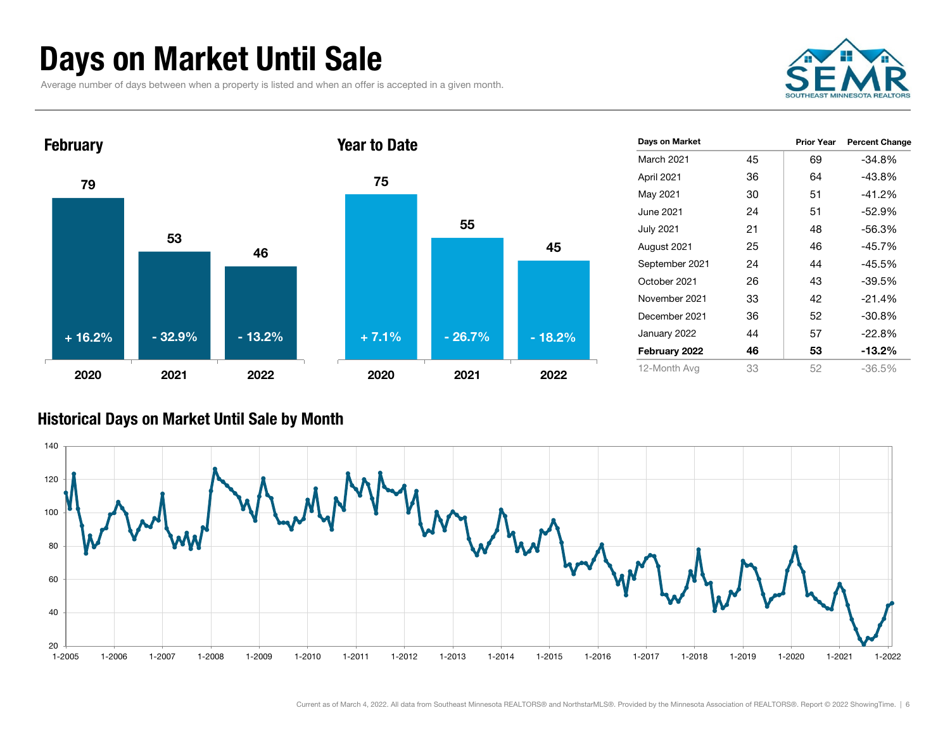### Days on Market Until Sale

Average number of days between when a property is listed and when an offer is accepted in a given month.



Prior Year Percent Change



#### Historical Days on Market Until Sale by Month

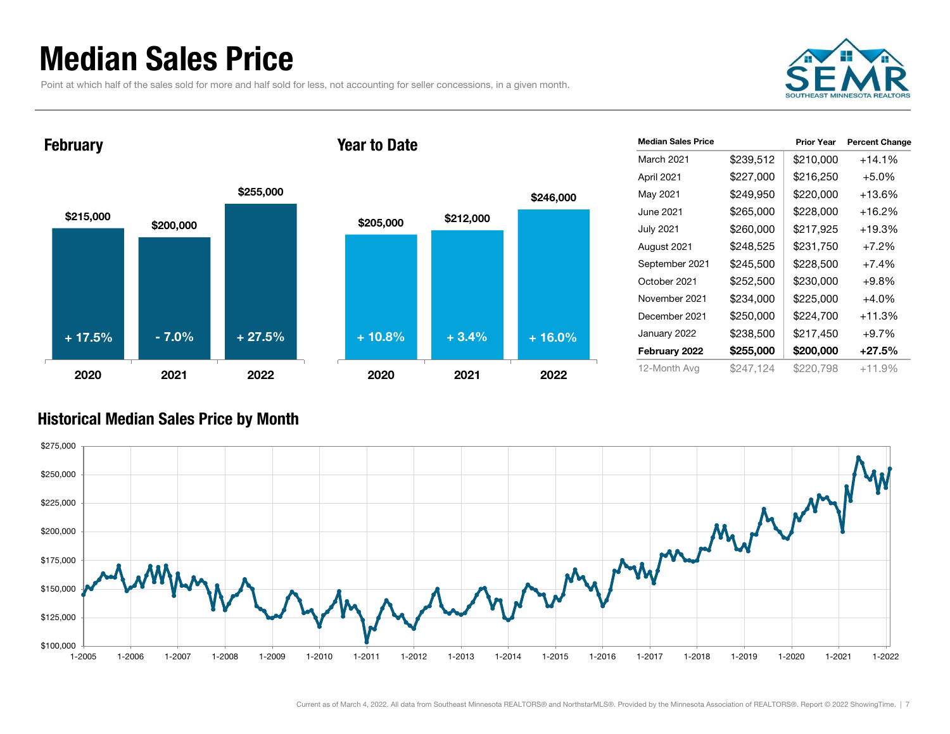### Median Sales Price

Point at which half of the sales sold for more and half sold for less, not accounting for seller concessions, in a given month.



February

#### Year to Date



| <b>Median Sales Price</b> |           | <b>Prior Year</b> | <b>Percent Change</b> |
|---------------------------|-----------|-------------------|-----------------------|
| March 2021                | \$239,512 | \$210,000         | $+14.1%$              |
| April 2021                | \$227,000 | \$216,250         | $+5.0%$               |
| May 2021                  | \$249,950 | \$220,000         | +13.6%                |
| June 2021                 | \$265,000 | \$228,000         | $+16.2%$              |
| <b>July 2021</b>          | \$260,000 | \$217,925         | $+19.3%$              |
| August 2021               | \$248,525 | \$231,750         | $+7.2%$               |
| September 2021            | \$245,500 | \$228,500         | $+7.4%$               |
| October 2021              | \$252,500 | \$230,000         | $+9.8%$               |
| November 2021             | \$234,000 | \$225,000         | $+4.0%$               |
| December 2021             | \$250,000 | \$224,700         | $+11.3%$              |
| January 2022              | \$238,500 | \$217,450         | $+9.7%$               |
| February 2022             | \$255,000 | \$200,000         | $+27.5\%$             |
| 12-Month Avg              | \$247,124 | \$220,798         | $+11.9%$              |

#### Historical Median Sales Price by Month

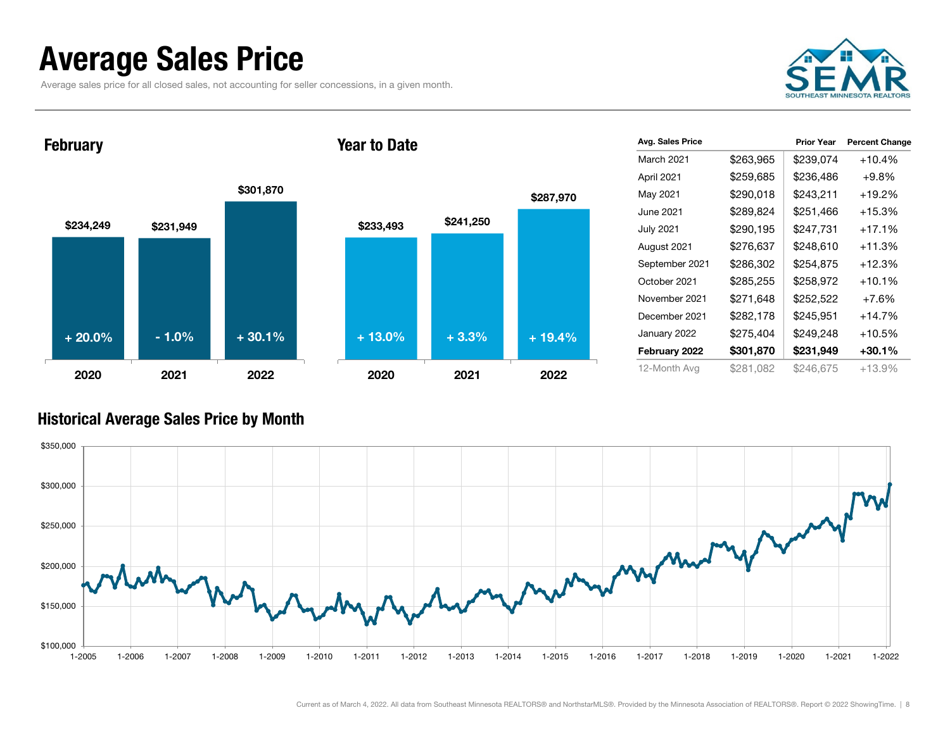### Average Sales Price

Average sales price for all closed sales, not accounting for seller concessions, in a given month.



**February** 

#### Year to Date



|           | <b>Prior Year</b> | <b>Percent Change</b> |
|-----------|-------------------|-----------------------|
| \$263,965 | \$239,074         | $+10.4%$              |
| \$259,685 | \$236,486         | $+9.8\%$              |
| \$290,018 | \$243,211         | +19.2%                |
| \$289,824 | \$251,466         | $+15.3%$              |
| \$290,195 | \$247,731         | $+17.1%$              |
| \$276,637 | \$248,610         | $+11.3%$              |
| \$286,302 | \$254,875         | $+12.3%$              |
| \$285,255 | \$258,972         | $+10.1%$              |
| \$271,648 | \$252,522         | +7.6%                 |
| \$282,178 | \$245,951         | $+14.7%$              |
| \$275,404 | \$249,248         | $+10.5%$              |
| \$301,870 | \$231,949         | $+30.1%$              |
| \$281.082 | \$246,675         | $+13.9%$              |
|           |                   |                       |

#### Historical Average Sales Price by Month

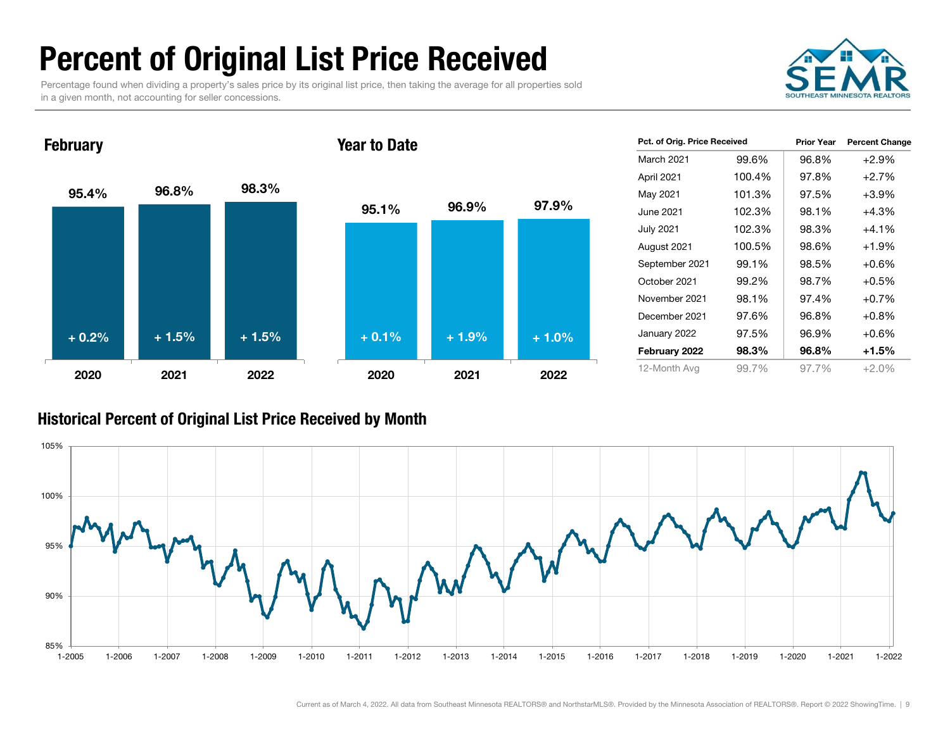## Percent of Original List Price Received

Percentage found when dividing a property's sales price by its original list price, then taking the average for all properties sold in a given month, not accounting for seller concessions.



95.4% 96.8% 98.3% 2020 2021 2022**February** 95.1% 96.9% 97.9% 2020 2021 2022Year to Date+ 0.2% $\%$  + 1.5% + 1.5% + 0.1% + 1.9% + 1.0%

| Pct. of Orig. Price Received |        | <b>Prior Year</b> | <b>Percent Change</b> |
|------------------------------|--------|-------------------|-----------------------|
| March 2021                   | 99.6%  | 96.8%             | $+2.9%$               |
| April 2021                   | 100.4% | 97.8%             | $+2.7%$               |
| May 2021                     | 101.3% | 97.5%             | $+3.9%$               |
| June 2021                    | 102.3% | 98.1%             | +4.3%                 |
| <b>July 2021</b>             | 102.3% | 98.3%             | $+4.1%$               |
| August 2021                  | 100.5% | 98.6%             | $+1.9%$               |
| September 2021               | 99.1%  | 98.5%             | $+0.6%$               |
| October 2021                 | 99.2%  | 98.7%             | $+0.5%$               |
| November 2021                | 98.1%  | 97.4%             | $+0.7%$               |
| December 2021                | 97.6%  | 96.8%             | $+0.8%$               |
| January 2022                 | 97.5%  | 96.9%             | $+0.6%$               |
| February 2022                | 98.3%  | 96.8%             | +1.5%                 |
| 12-Month Avg                 | 99.7%  | 97.7%             | $+2.0%$               |

#### Historical Percent of Original List Price Received by Month

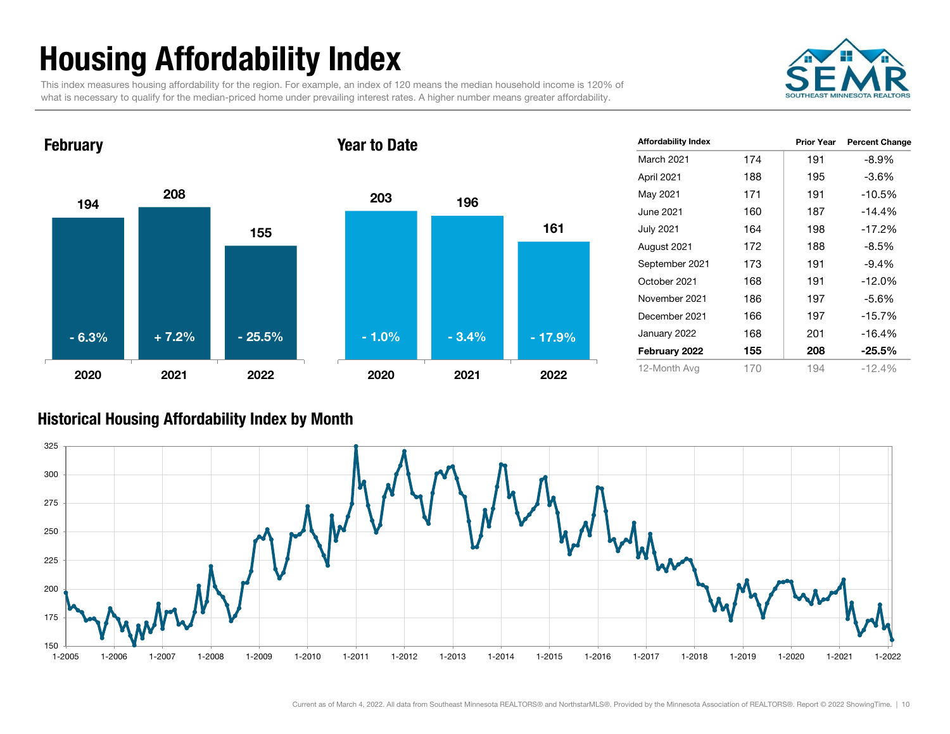## Housing Affordability Index

This index measures housing affordability for the region. For example, an index of 120 means the median household income is 120% of what is necessary to qualify for the median-priced home under prevailing interest rates. A higher number means greater affordability.



1942081552020 2021 2022**February** 203 1961612020 2021 2022Year to Date- 6.3%+ 7.2% - 25.5% - 3.4% - 1.0% - 17.9%

| <b>Affordability Index</b> |     | <b>Prior Year</b> | <b>Percent Change</b> |
|----------------------------|-----|-------------------|-----------------------|
| <b>March 2021</b>          | 174 | 191               | $-8.9%$               |
| April 2021                 | 188 | 195               | $-3.6%$               |
| May 2021                   | 171 | 191               | $-10.5%$              |
| June 2021                  | 160 | 187               | $-14.4%$              |
| July 2021                  | 164 | 198               | $-17.2%$              |
| August 2021                | 172 | 188               | $-8.5%$               |
| September 2021             | 173 | 191               | $-9.4%$               |
| October 2021               | 168 | 191               | $-12.0%$              |
| November 2021              | 186 | 197               | $-5.6\%$              |
| December 2021              | 166 | 197               | $-15.7%$              |
| January 2022               | 168 | 201               | $-16.4%$              |
| February 2022              | 155 | 208               | $-25.5%$              |
| 12-Month Avg               | 170 | 194               | $-12.4%$              |

#### Historical Housing Affordability Index by Mont h

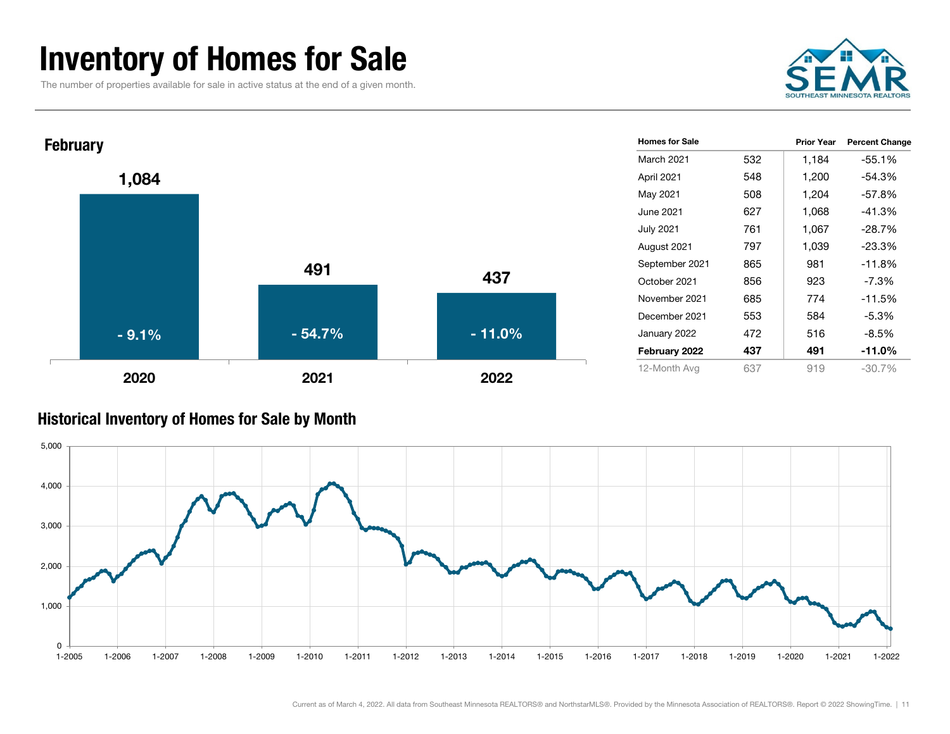### Inventory of Homes for Sale

The number of properties available for sale in active status at the end of a given month.





#### Historical Inventory of Homes for Sale by Month

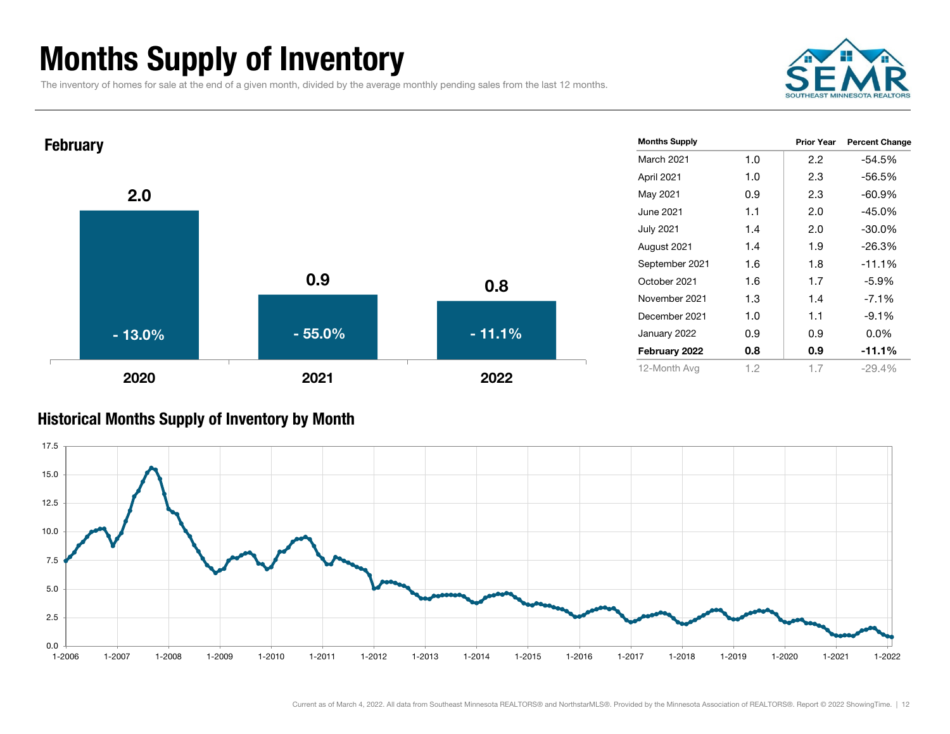### Months Supply of Inventory

The inventory of homes for sale at the end of a given month, divided by the average monthly pending sales from the last 12 months.





#### Historical Months Supply of Inventory by Month